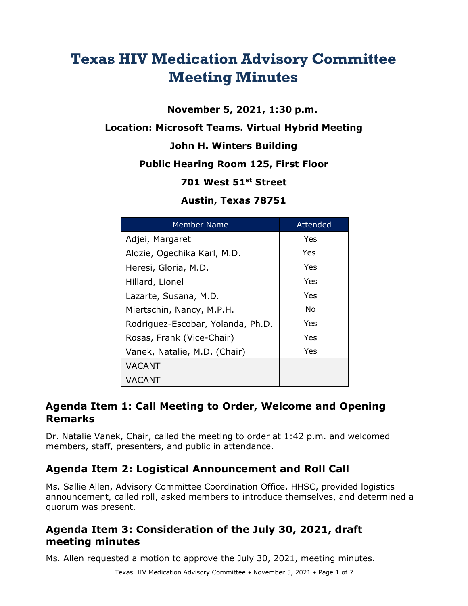# **Texas HIV Medication Advisory Committee Meeting Minutes**

**November 5, 2021, 1:30 p.m.**

**Location: Microsoft Teams. Virtual Hybrid Meeting**

#### **John H. Winters Building**

#### **Public Hearing Room 125, First Floor**

#### **701 West 51st Street**

#### **Austin, Texas 78751**

| <b>Member Name</b>                | Attended |
|-----------------------------------|----------|
| Adjei, Margaret                   | Yes      |
| Alozie, Ogechika Karl, M.D.       | Yes      |
| Heresi, Gloria, M.D.              | Yes      |
| Hillard, Lionel                   | Yes      |
| Lazarte, Susana, M.D.             | Yes      |
| Miertschin, Nancy, M.P.H.         | No       |
| Rodriguez-Escobar, Yolanda, Ph.D. | Yes      |
| Rosas, Frank (Vice-Chair)         | Yes      |
| Vanek, Natalie, M.D. (Chair)      | Yes      |
| <b>VACANT</b>                     |          |
| VACANT                            |          |

## **Agenda Item 1: Call Meeting to Order, Welcome and Opening Remarks**

Dr. Natalie Vanek, Chair, called the meeting to order at 1:42 p.m. and welcomed members, staff, presenters, and public in attendance.

# **Agenda Item 2: Logistical Announcement and Roll Call**

Ms. Sallie Allen, Advisory Committee Coordination Office, HHSC, provided logistics announcement, called roll, asked members to introduce themselves, and determined a quorum was present.

## **Agenda Item 3: Consideration of the July 30, 2021, draft meeting minutes**

Ms. Allen requested a motion to approve the July 30, 2021, meeting minutes.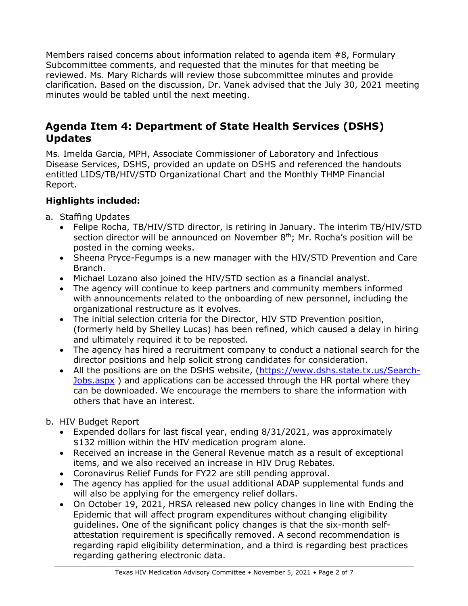Members raised concerns about information related to agenda item #8, Formulary Subcommittee comments, and requested that the minutes for that meeting be reviewed. Ms. Mary Richards will review those subcommittee minutes and provide clarification. Based on the discussion, Dr. Vanek advised that the July 30, 2021 meeting minutes would be tabled until the next meeting.

## **Agenda Item 4: Department of State Health Services (DSHS) Updates**

Ms. Imelda Garcia, MPH, Associate Commissioner of Laboratory and Infectious Disease Services, DSHS, provided an update on DSHS and referenced the handouts entitled LIDS/TB/HIV/STD Organizational Chart and the Monthly THMP Financial Report.

#### **Highlights included:**

- a. Staffing Updates
	- Felipe Rocha, TB/HIV/STD director, is retiring in January. The interim TB/HIV/STD section director will be announced on November  $8<sup>th</sup>$ ; Mr. Rocha's position will be posted in the coming weeks.
	- Sheena Pryce-Fegumps is a new manager with the HIV/STD Prevention and Care Branch.
	- Michael Lozano also joined the HIV/STD section as a financial analyst.
	- The agency will continue to keep partners and community members informed with announcements related to the onboarding of new personnel, including the organizational restructure as it evolves.
	- The initial selection criteria for the Director, HIV STD Prevention position, (formerly held by Shelley Lucas) has been refined, which caused a delay in hiring and ultimately required it to be reposted.
	- The agency has hired a recruitment company to conduct a national search for the director positions and help solicit strong candidates for consideration.
	- All the positions are on the DSHS website, [\(https://www.dshs.state.tx.us/Search-](https://www.dshs.state.tx.us/Search-Jobs.aspx)[Jobs.aspx](https://www.dshs.state.tx.us/Search-Jobs.aspx) ) and applications can be accessed through the HR portal where they can be downloaded. We encourage the members to share the information with others that have an interest.
- b. HIV Budget Report
	- Expended dollars for last fiscal year, ending 8/31/2021, was approximately \$132 million within the HIV medication program alone.
	- Received an increase in the General Revenue match as a result of exceptional items, and we also received an increase in HIV Drug Rebates.
	- Coronavirus Relief Funds for FY22 are still pending approval.
	- The agency has applied for the usual additional ADAP supplemental funds and will also be applying for the emergency relief dollars.
	- On October 19, 2021, HRSA released new policy changes in line with Ending the Epidemic that will affect program expenditures without changing eligibility guidelines. One of the significant policy changes is that the six-month selfattestation requirement is specifically removed. A second recommendation is regarding rapid eligibility determination, and a third is regarding best practices regarding gathering electronic data.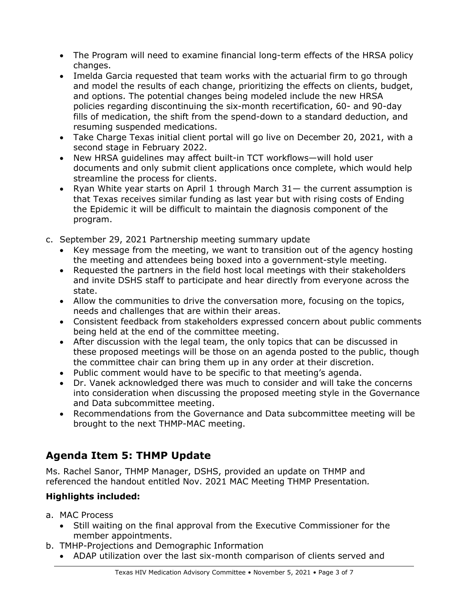- The Program will need to examine financial long-term effects of the HRSA policy changes.
- Imelda Garcia requested that team works with the actuarial firm to go through and model the results of each change, prioritizing the effects on clients, budget, and options. The potential changes being modeled include the new HRSA policies regarding discontinuing the six-month recertification, 60- and 90-day fills of medication, the shift from the spend-down to a standard deduction, and resuming suspended medications.
- Take Charge Texas initial client portal will go live on December 20, 2021, with a second stage in February 2022.
- New HRSA guidelines may affect built-in TCT workflows—will hold user documents and only submit client applications once complete, which would help streamline the process for clients.
- Ryan White year starts on April 1 through March 31— the current assumption is that Texas receives similar funding as last year but with rising costs of Ending the Epidemic it will be difficult to maintain the diagnosis component of the program.
- c. September 29, 2021 Partnership meeting summary update
	- Key message from the meeting, we want to transition out of the agency hosting the meeting and attendees being boxed into a government-style meeting.
	- Requested the partners in the field host local meetings with their stakeholders and invite DSHS staff to participate and hear directly from everyone across the state.
	- Allow the communities to drive the conversation more, focusing on the topics, needs and challenges that are within their areas.
	- Consistent feedback from stakeholders expressed concern about public comments being held at the end of the committee meeting.
	- After discussion with the legal team, the only topics that can be discussed in these proposed meetings will be those on an agenda posted to the public, though the committee chair can bring them up in any order at their discretion.
	- Public comment would have to be specific to that meeting's agenda.
	- Dr. Vanek acknowledged there was much to consider and will take the concerns into consideration when discussing the proposed meeting style in the Governance and Data subcommittee meeting.
	- Recommendations from the Governance and Data subcommittee meeting will be brought to the next THMP-MAC meeting.

# **Agenda Item 5: THMP Update**

Ms. Rachel Sanor, THMP Manager, DSHS, provided an update on THMP and referenced the handout entitled Nov. 2021 MAC Meeting THMP Presentation*.*

#### **Highlights included:**

a. MAC Process

- Still waiting on the final approval from the Executive Commissioner for the member appointments.
- b. TMHP-Projections and Demographic Information
	- ADAP utilization over the last six-month comparison of clients served and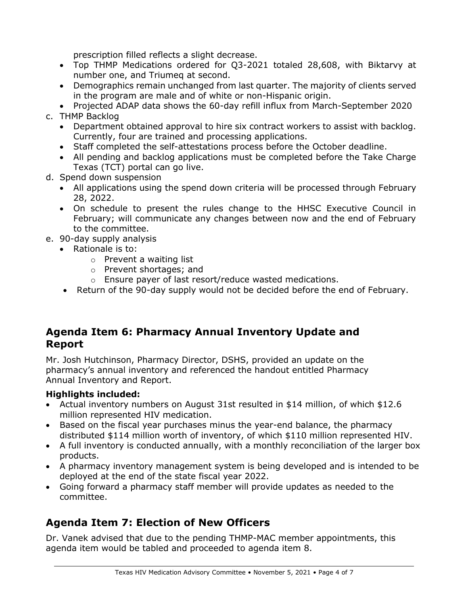prescription filled reflects a slight decrease.

- Top THMP Medications ordered for Q3-2021 totaled 28,608, with Biktarvy at number one, and Triumeq at second.
- Demographics remain unchanged from last quarter. The majority of clients served in the program are male and of white or non-Hispanic origin.
- Projected ADAP data shows the 60-day refill influx from March-September 2020
- c. THMP Backlog
	- Department obtained approval to hire six contract workers to assist with backlog. Currently, four are trained and processing applications.
	- Staff completed the self-attestations process before the October deadline.
	- All pending and backlog applications must be completed before the Take Charge Texas (TCT) portal can go live.
- d. Spend down suspension
	- All applications using the spend down criteria will be processed through February 28, 2022.
	- On schedule to present the rules change to the HHSC Executive Council in February; will communicate any changes between now and the end of February to the committee.
- e. 90-day supply analysis
	- Rationale is to:
		- o Prevent a waiting list
		- o Prevent shortages; and
		- o Ensure payer of last resort/reduce wasted medications.
		- Return of the 90-day supply would not be decided before the end of February.

#### **Agenda Item 6: Pharmacy Annual Inventory Update and Report**

Mr. Josh Hutchinson, Pharmacy Director, DSHS, provided an update on the pharmacy's annual inventory and referenced the handout entitled Pharmacy Annual Inventory and Report.

#### **Highlights included:**

- Actual inventory numbers on August 31st resulted in \$14 million, of which \$12.6 million represented HIV medication.
- Based on the fiscal year purchases minus the year-end balance, the pharmacy distributed \$114 million worth of inventory, of which \$110 million represented HIV.
- A full inventory is conducted annually, with a monthly reconciliation of the larger box products.
- A pharmacy inventory management system is being developed and is intended to be deployed at the end of the state fiscal year 2022.
- Going forward a pharmacy staff member will provide updates as needed to the committee.

# **Agenda Item 7: Election of New Officers**

Dr. Vanek advised that due to the pending THMP-MAC member appointments, this agenda item would be tabled and proceeded to agenda item 8.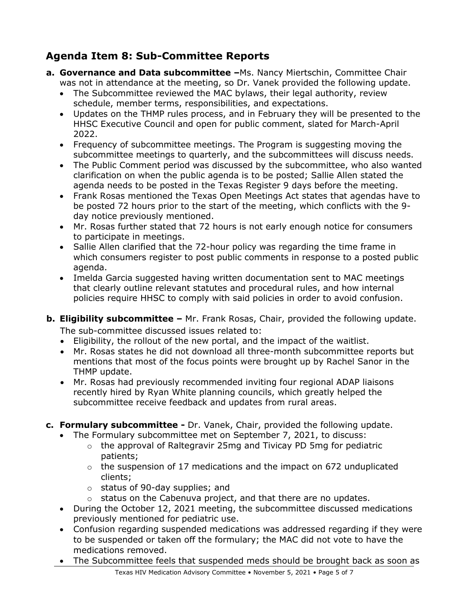# **Agenda Item 8: Sub-Committee Reports**

- **a. Governance and Data subcommittee –**Ms. Nancy Miertschin, Committee Chair was not in attendance at the meeting, so Dr. Vanek provided the following update.
	- The Subcommittee reviewed the MAC bylaws, their legal authority, review schedule, member terms, responsibilities, and expectations.
	- Updates on the THMP rules process, and in February they will be presented to the HHSC Executive Council and open for public comment, slated for March-April 2022.
	- Frequency of subcommittee meetings. The Program is suggesting moving the subcommittee meetings to quarterly, and the subcommittees will discuss needs.
	- The Public Comment period was discussed by the subcommittee, who also wanted clarification on when the public agenda is to be posted; Sallie Allen stated the agenda needs to be posted in the Texas Register 9 days before the meeting.
	- Frank Rosas mentioned the Texas Open Meetings Act states that agendas have to be posted 72 hours prior to the start of the meeting, which conflicts with the 9 day notice previously mentioned.
	- Mr. Rosas further stated that 72 hours is not early enough notice for consumers to participate in meetings.
	- Sallie Allen clarified that the 72-hour policy was regarding the time frame in which consumers register to post public comments in response to a posted public agenda.
	- Imelda Garcia suggested having written documentation sent to MAC meetings that clearly outline relevant statutes and procedural rules, and how internal policies require HHSC to comply with said policies in order to avoid confusion.
- **b. Eligibility subcommittee –** Mr. Frank Rosas, Chair, provided the following update. The sub-committee discussed issues related to:
	- Eligibility, the rollout of the new portal, and the impact of the waitlist.
	- Mr. Rosas states he did not download all three-month subcommittee reports but mentions that most of the focus points were brought up by Rachel Sanor in the THMP update.
	- Mr. Rosas had previously recommended inviting four regional ADAP liaisons recently hired by Ryan White planning councils, which greatly helped the subcommittee receive feedback and updates from rural areas.
- **c. Formulary subcommittee -** Dr. Vanek, Chair, provided the following update.
	- The Formulary subcommittee met on September 7, 2021, to discuss:
		- $\circ$  the approval of Raltegravir 25mg and Tivicay PD 5mg for pediatric patients;
		- o the suspension of 17 medications and the impact on 672 unduplicated clients;
		- o status of 90-day supplies; and
		- o status on the Cabenuva project, and that there are no updates.
	- During the October 12, 2021 meeting, the subcommittee discussed medications previously mentioned for pediatric use.
	- Confusion regarding suspended medications was addressed regarding if they were to be suspended or taken off the formulary; the MAC did not vote to have the medications removed.
	- The Subcommittee feels that suspended meds should be brought back as soon as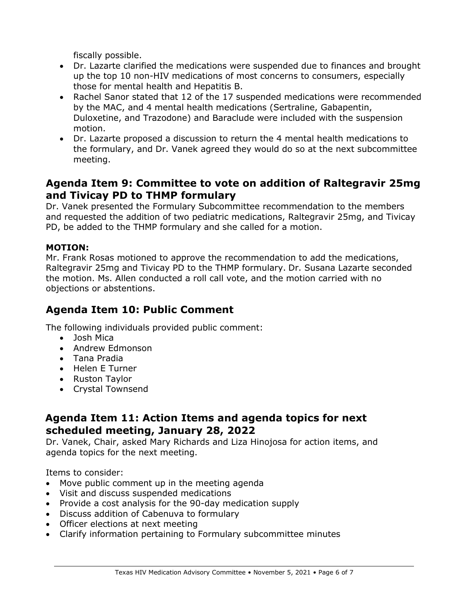fiscally possible.

- Dr. Lazarte clarified the medications were suspended due to finances and brought up the top 10 non-HIV medications of most concerns to consumers, especially those for mental health and Hepatitis B.
- Rachel Sanor stated that 12 of the 17 suspended medications were recommended by the MAC, and 4 mental health medications (Sertraline, Gabapentin, Duloxetine, and Trazodone) and Baraclude were included with the suspension motion.
- Dr. Lazarte proposed a discussion to return the 4 mental health medications to the formulary, and Dr. Vanek agreed they would do so at the next subcommittee meeting.

#### **Agenda Item 9: Committee to vote on addition of Raltegravir 25mg and Tivicay PD to THMP formulary**

Dr. Vanek presented the Formulary Subcommittee recommendation to the members and requested the addition of two pediatric medications, Raltegravir 25mg, and Tivicay PD, be added to the THMP formulary and she called for a motion.

#### **MOTION:**

Mr. Frank Rosas motioned to approve the recommendation to add the medications, Raltegravir 25mg and Tivicay PD to the THMP formulary. Dr. Susana Lazarte seconded the motion. Ms. Allen conducted a roll call vote, and the motion carried with no objections or abstentions.

## **Agenda Item 10: Public Comment**

The following individuals provided public comment:

- Josh Mica
- Andrew Edmonson
- Tana Pradia
- Helen E Turner
- Ruston Taylor
- Crystal Townsend

## **Agenda Item 11: Action Items and agenda topics for next scheduled meeting, January 28, 2022**

Dr. Vanek, Chair, asked Mary Richards and Liza Hinojosa for action items, and agenda topics for the next meeting.

Items to consider:

- Move public comment up in the meeting agenda
- Visit and discuss suspended medications
- Provide a cost analysis for the 90-day medication supply
- Discuss addition of Cabenuva to formulary
- Officer elections at next meeting
- Clarify information pertaining to Formulary subcommittee minutes